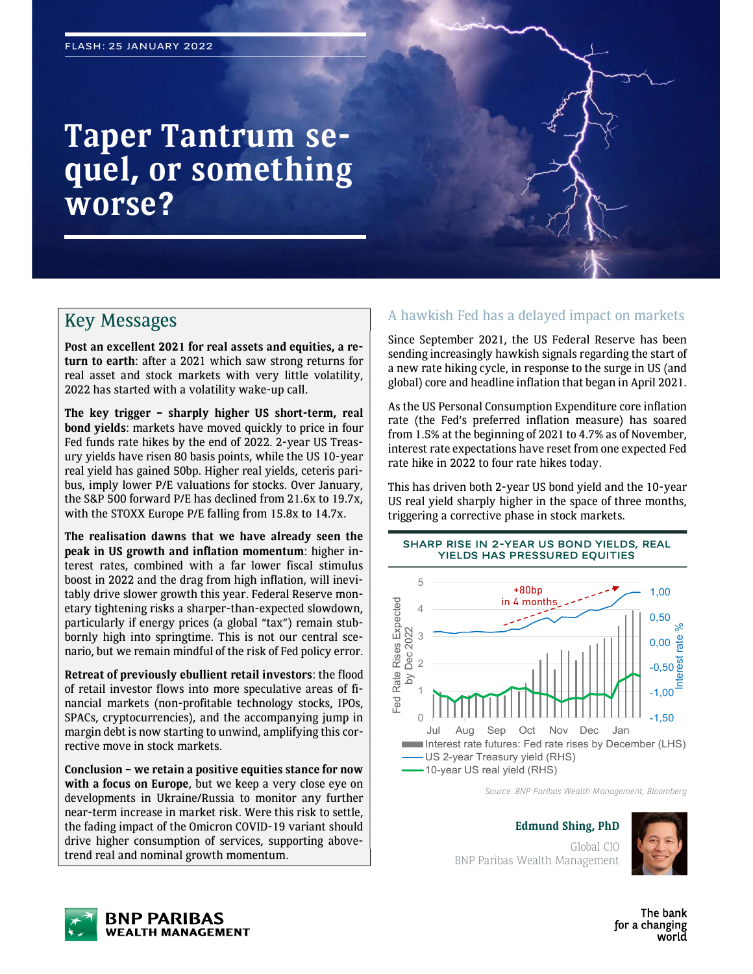# Taper Tantrum sequel, or something worse?

# Key Messages

Post an excellent 2021 for real assets and equities, a return to earth: after a 2021 which saw strong returns for real asset and stock markets with very little volatility, 2022 has started with a volatility wake-up call.

The key trigger – sharply higher US short-term, real bond yields: markets have moved quickly to price in four Fed funds rate hikes by the end of 2022. 2-year US Treasury yields have risen 80 basis points, while the US 10-year real yield has gained 50bp. Higher real yields, ceteris paribus, imply lower P/E valuations for stocks. Over January, the S&P 500 forward P/E has declined from 21.6x to 19.7x, with the STOXX Europe P/E falling from 15.8x to 14.7x.

The realisation dawns that we have already seen the peak in US growth and inflation momentum: higher interest rates, combined with a far lower fiscal stimulus boost in 2022 and the drag from high inflation, will inevitably drive slower growth this year. Federal Reserve monetary tightening risks a sharper-than-expected slowdown, particularly if energy prices (a global "tax") remain stubbornly high into springtime. This is not our central scenario, but we remain mindful of the risk of Fed policy error.

Retreat of previously ebullient retail investors: the flood of retail investor flows into more speculative areas of financial markets (non-profitable technology stocks, IPOs, SPACs, cryptocurrencies), and the accompanying jump in margin debt is now starting to unwind, amplifying this corrective move in stock markets.

Conclusion – we retain a positive equities stance for now with a focus on Europe, but we keep a very close eye on developments in Ukraine/Russia to monitor any further near-term increase in market risk. Were this risk to settle, the fading impact of the Omicron COVID-19 variant should drive higher consumption of services, supporting abovetrend real and nominal growth momentum.

### A hawkish Fed has a delayed impact on markets

Since September 2021, the US Federal Reserve has been sending increasingly hawkish signals regarding the start of a new rate hiking cycle, in response to the surge in US (and global) core and headline inflation that began in April 2021.

As the US Personal Consumption Expenditure core inflation rate (the Fed's preferred inflation measure) has soared from 1.5% at the beginning of 2021 to 4.7% as of November, interest rate expectations have reset from one expected Fed rate hike in 2022 to four rate hikes today.

This has driven both 2-year US bond yield and the 10-year US real yield sharply higher in the space of three months, triggering a corrective phase in stock markets.

SHARP RISE IN 2-YEAR US BOND YIELDS, REAL



Source: BNP Paribas Wealth Management, Bloomberg

Edmund Shing, PhD

Global CIO BNP Paribas Wealth Management

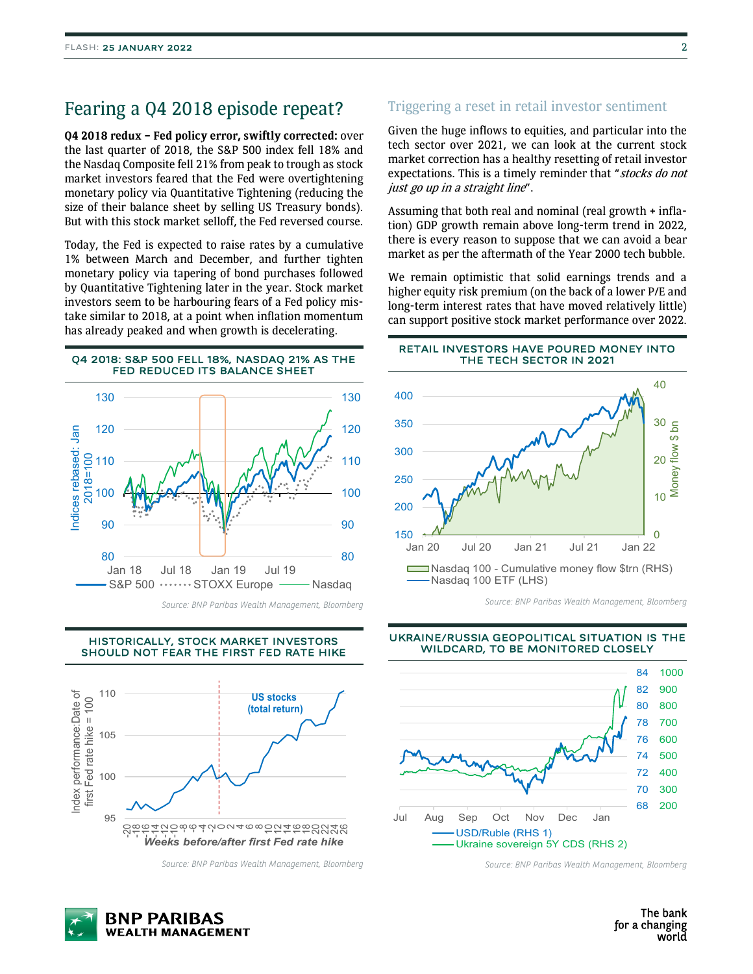## Fearing a Q4 2018 episode repeat?

Q4 2018 redux – Fed policy error, swiftly corrected: over the last quarter of 2018, the S&P 500 index fell 18% and the Nasdaq Composite fell 21% from peak to trough as stock market investors feared that the Fed were overtightening monetary policy via Quantitative Tightening (reducing the size of their balance sheet by selling US Treasury bonds). But with this stock market selloff, the Fed reversed course.

Today, the Fed is expected to raise rates by a cumulative 1% between March and December, and further tighten monetary policy via tapering of bond purchases followed by Quantitative Tightening later in the year. Stock market investors seem to be harbouring fears of a Fed policy mistake similar to 2018, at a point when inflation momentum has already peaked and when growth is decelerating.

#### Q4 2018: S&P 500 FELL 18%, NASDAQ 21% AS THE FED REDUCED ITS BALANCE SHEET



Source: BNP Paribas Wealth Management, Bloomberg



HISTORICALLY, STOCK MARKET INVESTORS

Source: BNP Paribas Wealth Management, Bloomberg

### Triggering a reset in retail investor sentiment

Given the huge inflows to equities, and particular into the tech sector over 2021, we can look at the current stock market correction has a healthy resetting of retail investor expectations. This is a timely reminder that "stocks do not just go up in a straight line".

Assuming that both real and nominal (real growth + inflation) GDP growth remain above long-term trend in 2022, there is every reason to suppose that we can avoid a bear market as per the aftermath of the Year 2000 tech bubble.

We remain optimistic that solid earnings trends and a higher equity risk premium (on the back of a lower P/E and long-term interest rates that have moved relatively little) can support positive stock market performance over 2022.

#### RETAIL INVESTORS HAVE POURED MONEY INTO THE TECH SECTOR IN 2021



Source: BNP Paribas Wealth Management, Bloomberg

#### UKRAINE/RUSSIA GEOPOLITICAL SITUATION IS THE WILDCARD, TO BE MONITORED CLOSELY



Source: BNP Paribas Wealth Management, Bloomberg

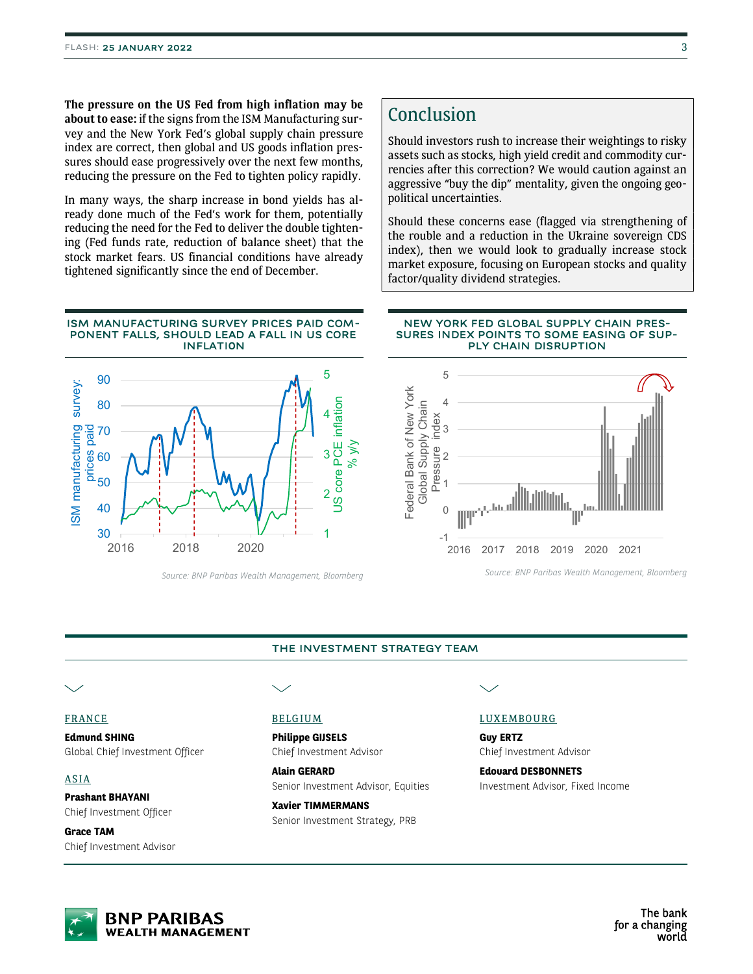The pressure on the US Fed from high inflation may be about to ease: if the signs from the ISM Manufacturing survey and the New York Fed's global supply chain pressure index are correct, then global and US goods inflation pressures should ease progressively over the next few months, reducing the pressure on the Fed to tighten policy rapidly.

In many ways, the sharp increase in bond yields has already done much of the Fed's work for them, potentially reducing the need for the Fed to deliver the double tightening (Fed funds rate, reduction of balance sheet) that the stock market fears. US financial conditions have already tightened significantly since the end of December.

#### ISM MANUFACTURING SURVEY PRICES PAID COM-PONENT FALLS, SHOULD LEAD A FALL IN US CORE INFLATI0N



Source: BNP Paribas Wealth Management, Bloomberg

# Conclusion

Should investors rush to increase their weightings to risky assets such as stocks, high yield credit and commodity currencies after this correction? We would caution against an aggressive "buy the dip" mentality, given the ongoing geopolitical uncertainties.

Should these concerns ease (flagged via strengthening of the rouble and a reduction in the Ukraine sovereign CDS index), then we would look to gradually increase stock market exposure, focusing on European stocks and quality factor/quality dividend strategies.

#### NEW YORK FED GLOBAL SUPPLY CHAIN PRES-SURES INDEX POINTS TO SOME EASING OF SUP-PLY CHAIN DISRUPTION



Source: BNP Paribas Wealth Management, Bloomberg

#### THE INVESTMENT STRATEGY TEAM

#### FRANCE

Edmund SHING Global Chief Investment Officer

#### ASIA

Prashant BHAYANI Chief Investment Officer

Grace TAM Chief Investment Advisor

### BELGIUM

Philippe GIJSELS Chief Investment Advisor

Alain GERARD Senior Investment Advisor, Equities

Xavier TIMMERMANS Senior Investment Strategy, PRB

#### LUXEMBOURG

Guy ERTZ Chief Investment Advisor

Edouard DESBONNETS Investment Advisor, Fixed Income